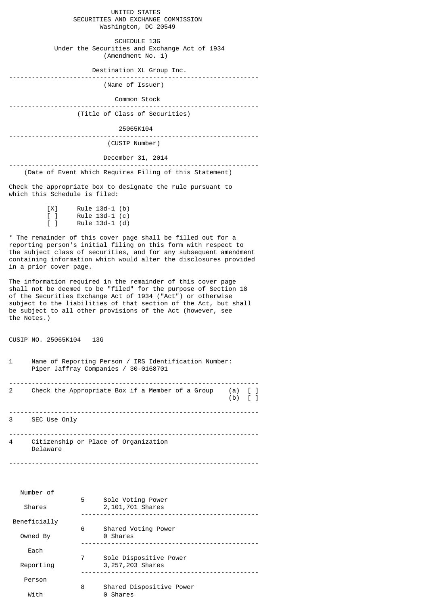UNITED STATES SECURITIES AND EXCHANGE COMMISSION Washington, DC 20549

 SCHEDULE 13G Under the Securities and Exchange Act of 1934 (Amendment No. 1)

Destination XL Group Inc.

------------------------------------------------------------------

(Name of Issuer)

Common Stock

------------------------------------------------------------------ (Title of Class of Securities)

25065K104

------------------------------------------------------------------

(CUSIP Number)

December 31, 2014

------------------------------------------------------------------ (Date of Event Which Requires Filing of this Statement)

Check the appropriate box to designate the rule pursuant to which this Schedule is filed:

| [X]    | $Rule 13d-1 (b)$ |  |
|--------|------------------|--|
| $\Box$ | Rule $13d-1$ (c) |  |
| $\Box$ | Rule $13d-1$ (d) |  |

\* The remainder of this cover page shall be filled out for a reporting person's initial filing on this form with respect to the subject class of securities, and for any subsequent amendment containing information which would alter the disclosures provided in a prior cover page.

The information required in the remainder of this cover page shall not be deemed to be "filed" for the purpose of Section 18 of the Securities Exchange Act of 1934 ("Act") or otherwise subject to the liabilities of that section of the Act, but shall be subject to all other provisions of the Act (however, see the Notes.)

CUSIP NO. 25065K104 13G

| 1 | Name of Reporting Person / IRS Identification Number:<br>Piper Jaffray Companies / 30-0168701 |                                      |  |
|---|-----------------------------------------------------------------------------------------------|--------------------------------------|--|
| 2 | Check the Appropriate Box if a Member of a Group                                              | $(a)$ [ ]<br>$(b)$ $\lceil$ $\rceil$ |  |
| 3 | SEC Use Only                                                                                  |                                      |  |
| 4 | Citizenship or Place of Organization<br>Delaware                                              |                                      |  |

------------------------------------------------------------------

| Number of    |   |                                              |
|--------------|---|----------------------------------------------|
| Shares       | 5 | Sole Voting Power<br>2,101,701 Shares        |
| Beneficially |   |                                              |
| Owned By     | 6 | Shared Voting Power<br>0 Shares              |
| Each         |   |                                              |
| Reporting    | 7 | Sole Dispositive Power<br>3, 257, 203 Shares |
| Person       |   |                                              |
| 8<br>With    |   | Shared Dispositive Power<br>Shares<br>0      |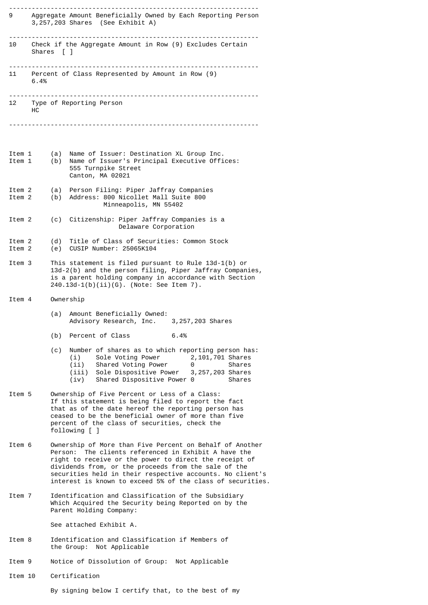|                  |            | 9 Aggregate Amount Beneficially Owned by Each Reporting Person<br>3,257,203 Shares (See Exhibit A)                                                                                                                                                                                                                                                            |  |  |
|------------------|------------|---------------------------------------------------------------------------------------------------------------------------------------------------------------------------------------------------------------------------------------------------------------------------------------------------------------------------------------------------------------|--|--|
|                  | Shares [ ] | 10 Check if the Aggregate Amount in Row (9) Excludes Certain                                                                                                                                                                                                                                                                                                  |  |  |
|                  | 6.4%       | 11 Percent of Class Represented by Amount in Row (9)                                                                                                                                                                                                                                                                                                          |  |  |
| нc               |            | 12 Type of Reporting Person                                                                                                                                                                                                                                                                                                                                   |  |  |
|                  |            |                                                                                                                                                                                                                                                                                                                                                               |  |  |
| Item 1<br>Item 1 | (a)<br>(b) | Name of Issuer: Destination XL Group Inc.<br>Name of Issuer's Principal Executive Offices:<br>555 Turnpike Street<br>Canton, MA 02021                                                                                                                                                                                                                         |  |  |
| Item 2<br>Item 2 | (a)<br>(b) | Person Filing: Piper Jaffray Companies<br>Address: 800 Nicollet Mall Suite 800<br>Minneapolis, MN 55402                                                                                                                                                                                                                                                       |  |  |
| Item 2           |            | (c) Citizenship: Piper Jaffray Companies is a<br>Delaware Corporation                                                                                                                                                                                                                                                                                         |  |  |
| Item 2<br>Item 2 |            | (d) Title of Class of Securities: Common Stock<br>(e) CUSIP Number: 25065K104                                                                                                                                                                                                                                                                                 |  |  |
| Item 3           |            | This statement is filed pursuant to Rule 13d-1(b) or<br>13d-2(b) and the person filing, Piper Jaffray Companies,<br>is a parent holding company in accordance with Section<br>$240.13d-1(b)(ii)(G)$ . (Note: See Item 7).                                                                                                                                     |  |  |
| Item 4           |            | Ownership                                                                                                                                                                                                                                                                                                                                                     |  |  |
|                  | (a)        | Amount Beneficially Owned:<br>Advisory Research, Inc. 3, 257, 203 Shares                                                                                                                                                                                                                                                                                      |  |  |
|                  | (b)        | Percent of Class<br>6.4%                                                                                                                                                                                                                                                                                                                                      |  |  |
|                  | (c)        | Number of shares as to which reporting person has:<br>2,101,701 Shares<br>(i)<br>Sole Voting Power<br>(ii)<br>Shared Voting Power<br>Shares<br>0<br>(iii)<br>Sole Dispositive Power<br>3, 257, 203 Shares<br>Shared Dispositive Power 0<br>Shares<br>(iv)                                                                                                     |  |  |
| Item 5           |            | Ownership of Five Percent or Less of a Class:<br>If this statement is being filed to report the fact<br>that as of the date hereof the reporting person has<br>ceased to be the beneficial owner of more than five<br>percent of the class of securities, check the<br>following [ ]                                                                          |  |  |
| Item 6           |            | Ownership of More than Five Percent on Behalf of Another<br>Person: The clients referenced in Exhibit A have the<br>right to receive or the power to direct the receipt of<br>dividends from, or the proceeds from the sale of the<br>securities held in their respective accounts. No client's<br>interest is known to exceed 5% of the class of securities. |  |  |
| Item 7           |            | Identification and Classification of the Subsidiary<br>Which Acquired the Security being Reported on by the<br>Parent Holding Company:                                                                                                                                                                                                                        |  |  |
|                  |            | See attached Exhibit A.                                                                                                                                                                                                                                                                                                                                       |  |  |
| Item 8           |            | Identification and Classification if Members of<br>the Group: Not Applicable                                                                                                                                                                                                                                                                                  |  |  |
| Item 9           |            | Notice of Dissolution of Group: Not Applicable                                                                                                                                                                                                                                                                                                                |  |  |
| Item 10          |            | Certification                                                                                                                                                                                                                                                                                                                                                 |  |  |

By signing below I certify that, to the best of my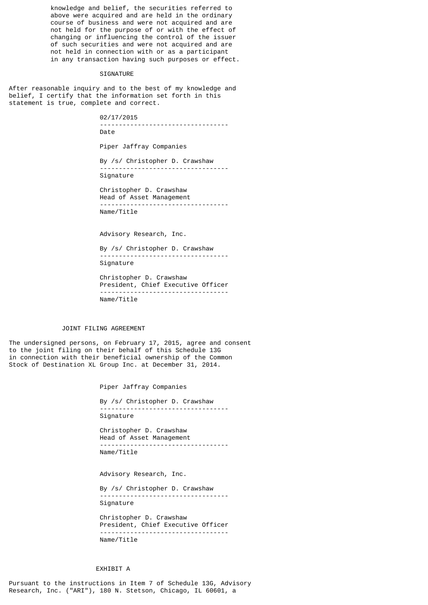knowledge and belief, the securities referred to above were acquired and are held in the ordinary course of business and were not acquired and are not held for the purpose of or with the effect of changing or influencing the control of the issuer of such securities and were not acquired and are not held in connection with or as a participant in any transaction having such purposes or effect.

## SIGNATURE

After reasonable inquiry and to the best of my knowledge and belief, I certify that the information set forth in this statement is true, complete and correct.

> 02/17/2015 ---------------------------------- Date

Piper Jaffray Companies

By /s/ Christopher D. Crawshaw ---------------------------------- Signature

Christopher D. Crawshaw Head of Asset Management ---------------------------------- Name/Title

Advisory Research, Inc.

By /s/ Christopher D. Crawshaw ---------------------------------- Signature

Christopher D. Crawshaw President, Chief Executive Officer ---------------------------------- Name/Title

## JOINT FILING AGREEMENT

The undersigned persons, on February 17, 2015, agree and consent to the joint filing on their behalf of this Schedule 13G in connection with their beneficial ownership of the Common Stock of Destination XL Group Inc. at December 31, 2014.

Piper Jaffray Companies

By /s/ Christopher D. Crawshaw ---------------------------------- Signature

Christopher D. Crawshaw Head of Asset Management ---------------------------------- Name/Title

Advisory Research, Inc.

By /s/ Christopher D. Crawshaw ---------------------------------- Signature

Christopher D. Crawshaw President, Chief Executive Officer ---------------------------------- Name/Title

## EXHIBIT A